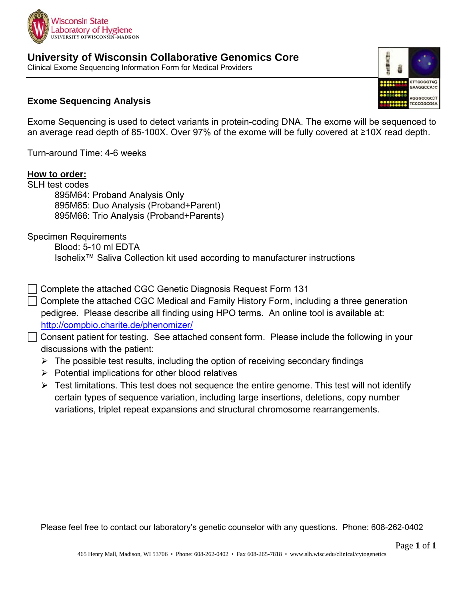

University of Wisconsin Collaborative Genomics Core Clinical Exome Sequencing Information Form for Medical Providers

## **Exome Sequencing Analysis**

Exome Sequencing is used to detect variants in protein-coding DNA. The exome will be sequenced to an average read depth of 85-100X. Over 97% of the exome will be fully covered at  $\geq$ 10X read depth.

Turn-around Time: 4-6 weeks

### How to order:

**SLH test codes** 895M64: Proband Analysis Only 895M65: Duo Analysis (Proband+Parent) 895M66: Trio Analysis (Proband+Parents)

**Specimen Requirements** 

Blood: 5-10 ml EDTA Isohelix<sup>™</sup> Saliva Collection kit used according to manufacturer instructions

- Complete the attached CGC Genetic Diagnosis Request Form 131
- $\Box$  Complete the attached CGC Medical and Family History Form, including a three generation pedigree. Please describe all finding using HPO terms. An online tool is available at: http://compbio.charite.de/phenomizer/
- □ Consent patient for testing. See attached consent form. Please include the following in your discussions with the patient:
	- $\triangleright$  The possible test results, including the option of receiving secondary findings
	- $\triangleright$  Potential implications for other blood relatives
	- $\triangleright$  Test limitations. This test does not sequence the entire genome. This test will not identify certain types of sequence variation, including large insertions, deletions, copy number variations, triplet repeat expansions and structural chromosome rearrangements.

Please feel free to contact our laboratory's genetic counselor with any questions. Phone: 608-262-0402

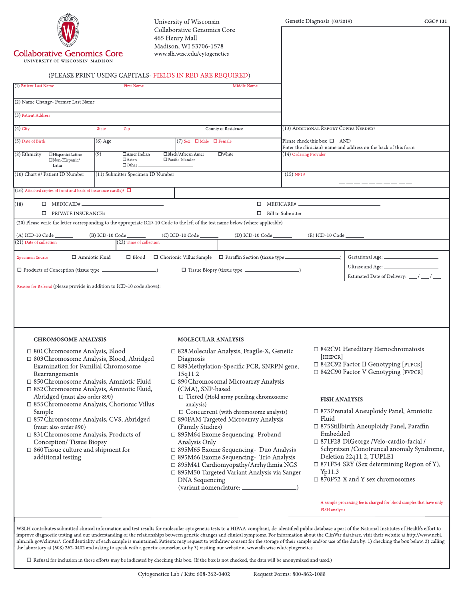|                                                                                                                                                                                                                                                                                                                                                                                                                                                                                                                                           |                                            |                           | University of Wisconsin<br>Collaborative Genomics Core                                                                                                                                                                                                                                                                                                                                                                                               |                                                                                              |                          | Genetic Diagnosis (03/2019)                               |                                                                                                                                                                                             | CGC#131                                                                                                                                                                                        |
|-------------------------------------------------------------------------------------------------------------------------------------------------------------------------------------------------------------------------------------------------------------------------------------------------------------------------------------------------------------------------------------------------------------------------------------------------------------------------------------------------------------------------------------------|--------------------------------------------|---------------------------|------------------------------------------------------------------------------------------------------------------------------------------------------------------------------------------------------------------------------------------------------------------------------------------------------------------------------------------------------------------------------------------------------------------------------------------------------|----------------------------------------------------------------------------------------------|--------------------------|-----------------------------------------------------------|---------------------------------------------------------------------------------------------------------------------------------------------------------------------------------------------|------------------------------------------------------------------------------------------------------------------------------------------------------------------------------------------------|
| <b>Collaborative Genomics Core</b><br>UNIVERSITY OF WISCONSIN-MADISON                                                                                                                                                                                                                                                                                                                                                                                                                                                                     |                                            |                           | 465 Henry Mall<br>Madison, WI 53706-1578<br>www.slh.wisc.edu/cytogenetics                                                                                                                                                                                                                                                                                                                                                                            |                                                                                              |                          |                                                           |                                                                                                                                                                                             |                                                                                                                                                                                                |
|                                                                                                                                                                                                                                                                                                                                                                                                                                                                                                                                           |                                            |                           | (PLEASE PRINT USING CAPITALS-FIELDS IN RED ARE REQUIRED)                                                                                                                                                                                                                                                                                                                                                                                             |                                                                                              |                          |                                                           |                                                                                                                                                                                             |                                                                                                                                                                                                |
| (1) Patient Last Name                                                                                                                                                                                                                                                                                                                                                                                                                                                                                                                     |                                            | <b>First Name</b>         |                                                                                                                                                                                                                                                                                                                                                                                                                                                      | Middle Name                                                                                  |                          |                                                           |                                                                                                                                                                                             |                                                                                                                                                                                                |
| (2) Name Change- Former Last Name                                                                                                                                                                                                                                                                                                                                                                                                                                                                                                         |                                            |                           |                                                                                                                                                                                                                                                                                                                                                                                                                                                      |                                                                                              |                          |                                                           |                                                                                                                                                                                             |                                                                                                                                                                                                |
| (3) Patient Address                                                                                                                                                                                                                                                                                                                                                                                                                                                                                                                       |                                            |                           |                                                                                                                                                                                                                                                                                                                                                                                                                                                      |                                                                                              |                          |                                                           |                                                                                                                                                                                             |                                                                                                                                                                                                |
| $(4)$ City                                                                                                                                                                                                                                                                                                                                                                                                                                                                                                                                | State<br>Zip                               |                           | County of Residence                                                                                                                                                                                                                                                                                                                                                                                                                                  |                                                                                              |                          | (13) ADDITIONAL REPORT COPIES NEEDED?                     |                                                                                                                                                                                             |                                                                                                                                                                                                |
| (5) Date of Birth                                                                                                                                                                                                                                                                                                                                                                                                                                                                                                                         | $(6)$ Age                                  |                           | $(7)$ Sex $\Box$ Male $\Box$ Female                                                                                                                                                                                                                                                                                                                                                                                                                  |                                                                                              |                          | Please check this box □ AND                               | Enter the clinician's name and address on the back of this form                                                                                                                             |                                                                                                                                                                                                |
| (8) Ethnicity<br>□Hispanic/Latino<br>□Non-Hispanic/<br>Latin                                                                                                                                                                                                                                                                                                                                                                                                                                                                              | (9)<br>$\Box$ Asian<br>$\Box$ Other $\Box$ | □Amer Indian              | □Black/African Amer<br>$\square$ White<br>□Pacific Islander                                                                                                                                                                                                                                                                                                                                                                                          |                                                                                              | (14) Ordering Provider   |                                                           |                                                                                                                                                                                             |                                                                                                                                                                                                |
| (10) Chart #/ Patient ID Number                                                                                                                                                                                                                                                                                                                                                                                                                                                                                                           | (11) Submitter Specimen ID Number          |                           |                                                                                                                                                                                                                                                                                                                                                                                                                                                      |                                                                                              | $(15)$ NPI #             |                                                           |                                                                                                                                                                                             |                                                                                                                                                                                                |
| (16) Attached copies of front and back of insurance card(s)? $\Box$                                                                                                                                                                                                                                                                                                                                                                                                                                                                       |                                            |                           |                                                                                                                                                                                                                                                                                                                                                                                                                                                      |                                                                                              |                          |                                                           |                                                                                                                                                                                             |                                                                                                                                                                                                |
| (18)<br>$\Box$ MEDICAID# $\_\_\_\_\_\_\_\_\_\_\_\_\_$                                                                                                                                                                                                                                                                                                                                                                                                                                                                                     |                                            |                           |                                                                                                                                                                                                                                                                                                                                                                                                                                                      |                                                                                              |                          | $\Box$ MEDICARE# $\Box$                                   |                                                                                                                                                                                             |                                                                                                                                                                                                |
|                                                                                                                                                                                                                                                                                                                                                                                                                                                                                                                                           |                                            |                           |                                                                                                                                                                                                                                                                                                                                                                                                                                                      |                                                                                              | $\Box$ Bill to Submitter |                                                           |                                                                                                                                                                                             |                                                                                                                                                                                                |
|                                                                                                                                                                                                                                                                                                                                                                                                                                                                                                                                           |                                            |                           | (20) Please write the letter corresponding to the appropriate ICD-10 Code to the left of the test name below (where applicable)                                                                                                                                                                                                                                                                                                                      |                                                                                              |                          |                                                           |                                                                                                                                                                                             |                                                                                                                                                                                                |
|                                                                                                                                                                                                                                                                                                                                                                                                                                                                                                                                           |                                            |                           |                                                                                                                                                                                                                                                                                                                                                                                                                                                      |                                                                                              |                          |                                                           |                                                                                                                                                                                             |                                                                                                                                                                                                |
|                                                                                                                                                                                                                                                                                                                                                                                                                                                                                                                                           |                                            |                           |                                                                                                                                                                                                                                                                                                                                                                                                                                                      |                                                                                              |                          |                                                           |                                                                                                                                                                                             |                                                                                                                                                                                                |
| □ Amniotic Fluid                                                                                                                                                                                                                                                                                                                                                                                                                                                                                                                          |                                            | $(22)$ Time of collection | $\Box$ Blood $\Box$ Chorionic Villus Sample $\Box$ Paraffin Section (tissue type $\Box$                                                                                                                                                                                                                                                                                                                                                              |                                                                                              |                          |                                                           |                                                                                                                                                                                             |                                                                                                                                                                                                |
|                                                                                                                                                                                                                                                                                                                                                                                                                                                                                                                                           |                                            |                           |                                                                                                                                                                                                                                                                                                                                                                                                                                                      |                                                                                              |                          |                                                           |                                                                                                                                                                                             |                                                                                                                                                                                                |
| (A) ICD-10 Code (B) ICD-10 Code (C) ICD-10 Code (D) ICD-10 Code (D) ICD-10 Code (B) ICD-10 Code (B) ICD-10 Code<br>(21) Date of collection<br>Specimen Source<br>Reason for Referral (please provide in addition to ICD-10 code above):<br><b>CHROMOSOME ANALYSIS</b>                                                                                                                                                                                                                                                                     |                                            |                           | <b>MOLECULAR ANALYSIS</b>                                                                                                                                                                                                                                                                                                                                                                                                                            |                                                                                              |                          |                                                           |                                                                                                                                                                                             |                                                                                                                                                                                                |
| □ 801 Chromosome Analysis, Blood<br>□ 803 Chromosome Analysis, Blood, Abridged<br>Examination for Familial Chromosome<br>Rearrangements<br>□ 850Chromosome Analysis, Amniotic Fluid<br>□ 852Chromosome Analysis, Amniotic Fluid,<br>Abridged (must also order 890)<br>□ 855Chromosome Analysis, Chorionic Villus<br>Sample<br>□ 857 Chromosome Analysis, CVS, Abridged<br>(must also order 890)<br>□ 831 Chromosome Analysis, Products of<br>Conception/Tissue Biopsy<br>$\Box$ 860 Tissue culture and shipment for<br>additional testing |                                            |                           | □ 828 Molecular Analysis, Fragile-X, Genetic<br>Diagnosis<br>□ 889Methylation-Specific PCR, SNRPN gene,<br>15q11.2<br>□ 890Chromosomal Microarray Analysis<br>(CMA), SNP-based<br>analysis)<br>□ 890FAM Targeted Microarray Analysis<br>(Family Studies)<br>$\Box$ 895M64 Exome Sequencing-Proband<br>Analysis Only<br>□ 895M65 Exome Sequencing- Duo Analysis<br>□ 895M66 Exome Sequencing- Trio Analysis<br>□ 895M41 Cardiomyopathy/Arrhythmia NGS | $\Box$ Tiered (Hold array pending chromosome<br>$\Box$ Concurrent (with chromosome analysis) |                          | <b>HHPCR</b><br><b>FISH ANALYSIS</b><br>Fluid<br>Embedded | □ 842C91 Hereditary Hemochromatosis<br>□ 842C92 Factor II Genotyping [PTPCR]<br>□ 842C90 Factor V Genotyping [FVPCR]<br>□ 871F28 DiGeorge /Velo-cardio-facial /<br>Deletion 22q11.2, TUPLE1 | $\Box$ 873 Prenatal Aneuploidy Panel, Amniotic<br>□ 875 Stillbirth Aneuploidy Panel, Paraffin<br>Schpritzen /Conotruncal anomaly Syndrome,<br>$\Box$ 871F34 SRY (Sex determining Region of Y), |

 $\Box$  Refusal for inclusion in these efforts may be indicated by checking this box. (If the box is not checked, the data will be anonymized and used.)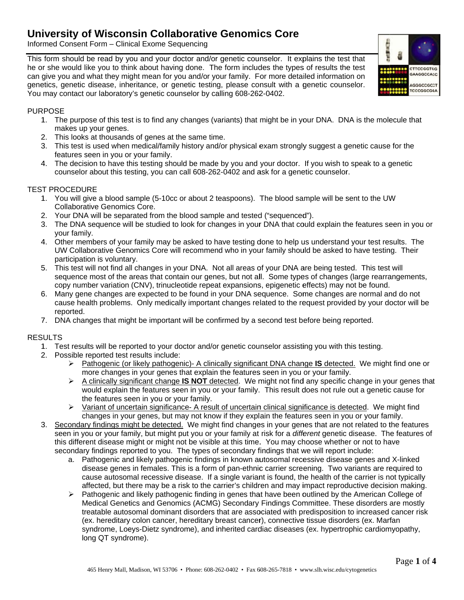# **University of Wisconsin Collaborative Genomics Core**

Informed Consent Form - Clinical Exome Sequencing

This form should be read by you and your doctor and/or genetic counselor. It explains the test that he or she would like you to think about having done. The form includes the types of results the test can give you and what they might mean for you and/or your family. For more detailed information on genetics, genetic disease, inheritance, or genetic testing, please consult with a genetic counselor. You may contact our laboratory's genetic counselor by calling 608-262-0402.

#### **PURPOSE**

- 1. The purpose of this test is to find any changes (variants) that might be in your DNA. DNA is the molecule that makes up your genes.
- 2. This looks at thousands of genes at the same time.
- 3. This test is used when medical/family history and/or physical exam strongly suggest a genetic cause for the features seen in you or your family.
- 4. The decision to have this testing should be made by you and your doctor. If you wish to speak to a genetic counselor about this testing, you can call 608-262-0402 and ask for a genetic counselor.

#### **TEST PROCEDURE**

- 1. You will give a blood sample (5-10cc or about 2 teaspoons). The blood sample will be sent to the UW **Collaborative Genomics Core.**
- 2. Your DNA will be separated from the blood sample and tested ("sequenced").
- 3. The DNA sequence will be studied to look for changes in your DNA that could explain the features seen in you or your family.
- 4. Other members of your family may be asked to have testing done to help us understand your test results. The UW Collaborative Genomics Core will recommend who in your family should be asked to have testing. Their participation is voluntary.
- 5. This test will not find all changes in your DNA. Not all areas of your DNA are being tested. This test will sequence most of the areas that contain our genes, but not all. Some types of changes (large rearrangements, copy number variation (CNV), trinucleotide repeat expansions, epigenetic effects) may not be found.
- 6. Many gene changes are expected to be found in your DNA sequence. Some changes are normal and do not cause health problems. Only medically important changes related to the request provided by your doctor will be reported.
- 7. DNA changes that might be important will be confirmed by a second test before being reported.

#### **RESULTS**

- 1. Test results will be reported to your doctor and/or genetic counselor assisting you with this testing.
- 2. Possible reported test results include:
	- > Pathogenic (or likely pathogenic) A clinically significant DNA change IS detected. We might find one or more changes in your genes that explain the features seen in you or your family.
	- $\triangleright$  A clinically significant change **IS NOT** detected. We might not find any specific change in your genes that would explain the features seen in you or your family. This result does not rule out a genetic cause for the features seen in you or your family.
	- > Variant of uncertain significance- A result of uncertain clinical significance is detected. We might find changes in your genes, but may not know if they explain the features seen in you or your family.
- 3. Secondary findings might be detected. We might find changes in your genes that are not related to the features seen in you or your family, but might put you or your family at risk for a different genetic disease. The features of this different disease might or might not be visible at this time. You may choose whether or not to have secondary findings reported to you. The types of secondary findings that we will report include:
	- a. Pathogenic and likely pathogenic findings in known autosomal recessive disease genes and X-linked disease genes in females. This is a form of pan-ethnic carrier screening. Two variants are required to cause autosomal recessive disease. If a single variant is found, the health of the carrier is not typically affected, but there may be a risk to the carrier's children and may impact reproductive decision making.
	- $\triangleright$  Pathogenic and likely pathogenic finding in genes that have been outlined by the American College of Medical Genetics and Genomics (ACMG) Secondary Findings Committee. These disorders are mostly treatable autosomal dominant disorders that are associated with predisposition to increased cancer risk (ex. hereditary colon cancer, hereditary breast cancer), connective tissue disorders (ex. Marfan syndrome, Loeys-Dietz syndrome), and inherited cardiac diseases (ex. hypertrophic cardiomyopathy, long QT syndrome).

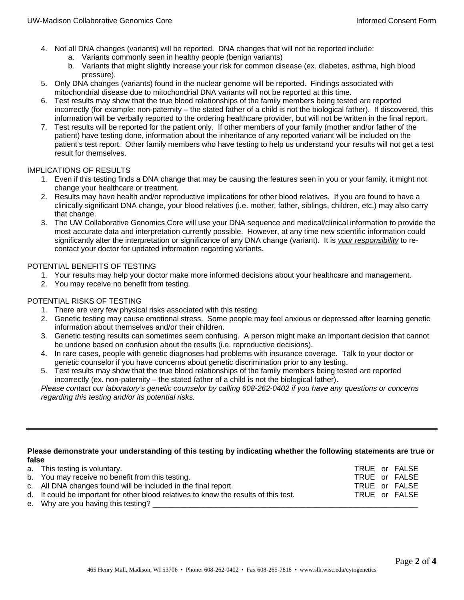- 4. Not all DNA changes (variants) will be reported. DNA changes that will not be reported include:
	- a. Variants commonly seen in healthy people (benign variants)
	- b. Variants that might slightly increase your risk for common disease (ex. diabetes, asthma, high blood pressure).
- 5. Only DNA changes (variants) found in the nuclear genome will be reported. Findings associated with mitochondrial disease due to mitochondrial DNA variants will not be reported at this time.
- 6. Test results may show that the true blood relationships of the family members being tested are reported incorrectly (for example: non-paternity – the stated father of a child is not the biological father). If discovered, this information will be verbally reported to the ordering healthcare provider, but will not be written in the final report.
- 7. Test results will be reported for the patient only. If other members of your family (mother and/or father of the patient) have testing done, information about the inheritance of any reported variant will be included on the patient's test report. Other family members who have testing to help us understand your results will not get a test result for themselves.

#### IMPLICATIONS OF RESULTS

- 1. Even if this testing finds a DNA change that may be causing the features seen in you or your family, it might not change your healthcare or treatment.
- 2. Results may have health and/or reproductive implications for other blood relatives. If you are found to have a clinically significant DNA change, your blood relatives (i.e. mother, father, siblings, children, etc.) may also carry that change.
- 3. The UW Collaborative Genomics Core will use your DNA sequence and medical/clinical information to provide the most accurate data and interpretation currently possible. However, at any time new scientific information could significantly alter the interpretation or significance of any DNA change (variant). It is *your responsibility* to recontact your doctor for updated information regarding variants.

#### POTENTIAL BENEFITS OF TESTING

- 1. Your results may help your doctor make more informed decisions about your healthcare and management.
- 2. You may receive no benefit from testing.

#### POTENTIAL RISKS OF TESTING

- 1. There are very few physical risks associated with this testing.
- 2. Genetic testing may cause emotional stress. Some people may feel anxious or depressed after learning genetic information about themselves and/or their children.
- 3. Genetic testing results can sometimes seem confusing. A person might make an important decision that cannot be undone based on confusion about the results (i.e. reproductive decisions).
- 4. In rare cases, people with genetic diagnoses had problems with insurance coverage. Talk to your doctor or genetic counselor if you have concerns about genetic discrimination prior to any testing.
- 5. Test results may show that the true blood relationships of the family members being tested are reported incorrectly (ex. non-paternity – the stated father of a child is not the biological father).

*Please contact our laboratory's genetic counselor by calling 608-262-0402 if you have any questions or concerns regarding this testing and/or its potential risks.* 

#### **Please demonstrate your understanding of this testing by indicating whether the following statements are true or false**

| a. This testing is voluntary.                                                        |  | TRUE or FALSE |
|--------------------------------------------------------------------------------------|--|---------------|
| b. You may receive no benefit from this testing.                                     |  | TRUE or FALSE |
| c. All DNA changes found will be included in the final report.                       |  | TRUE or FALSE |
| d. It could be important for other blood relatives to know the results of this test. |  | TRUE or FALSE |
| e. Why are you having this testing?                                                  |  |               |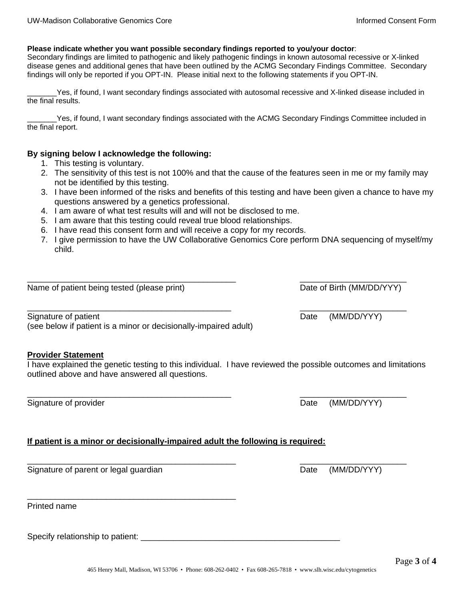#### **Please indicate whether you want possible secondary findings reported to you/your doctor**:

Secondary findings are limited to pathogenic and likely pathogenic findings in known autosomal recessive or X-linked disease genes and additional genes that have been outlined by the ACMG Secondary Findings Committee. Secondary findings will only be reported if you OPT-IN. Please initial next to the following statements if you OPT-IN.

Yes, if found, I want secondary findings associated with autosomal recessive and X-linked disease included in the final results.

Yes, if found, I want secondary findings associated with the ACMG Secondary Findings Committee included in the final report.

#### **By signing below I acknowledge the following:**

- 1. This testing is voluntary.
- 2. The sensitivity of this test is not 100% and that the cause of the features seen in me or my family may not be identified by this testing.
- 3. I have been informed of the risks and benefits of this testing and have been given a chance to have my questions answered by a genetics professional.
- 4. I am aware of what test results will and will not be disclosed to me.
- 5. I am aware that this testing could reveal true blood relationships.
- 6. I have read this consent form and will receive a copy for my records.
- 7. I give permission to have the UW Collaborative Genomics Core perform DNA sequencing of myself/my child.

\_\_\_\_\_\_\_\_\_\_\_\_\_\_\_\_\_\_\_\_\_\_\_\_\_\_\_\_\_\_\_\_\_\_\_\_\_\_\_\_\_\_\_\_\_ \_\_\_\_\_\_\_\_\_\_\_\_\_\_\_\_\_\_\_\_\_\_\_

\_\_\_\_\_\_\_\_\_\_\_\_\_\_\_\_\_\_\_\_\_\_\_\_\_\_\_\_\_\_\_\_\_\_\_\_\_\_\_\_\_\_\_\_ \_\_\_\_\_\_\_\_\_\_\_\_\_\_\_\_\_\_\_\_\_\_\_

Name of patient being tested (please print) Date of Birth (MM/DD/YYY)

Signature of patient  $D = D \cdot D$  Date (MM/DD/YYY) (see below if patient is a minor or decisionally-impaired adult)

\_\_\_\_\_\_\_\_\_\_\_\_\_\_\_\_\_\_\_\_\_\_\_\_\_\_\_\_\_\_\_\_\_\_\_\_\_\_\_\_\_\_\_\_\_

#### **Provider Statement**

I have explained the genetic testing to this individual. I have reviewed the possible outcomes and limitations outlined above and have answered all questions.

\_\_\_\_\_\_\_\_\_\_\_\_\_\_\_\_\_\_\_\_\_\_\_\_\_\_\_\_\_\_\_\_\_\_\_\_\_\_\_\_\_\_\_\_ \_\_\_\_\_\_\_\_\_\_\_\_\_\_\_\_\_\_\_\_\_\_\_

\_\_\_\_\_\_\_\_\_\_\_\_\_\_\_\_\_\_\_\_\_\_\_\_\_\_\_\_\_\_\_\_\_\_\_\_\_\_\_\_\_\_\_\_\_ \_\_\_\_\_\_\_\_\_\_\_\_\_\_\_\_\_\_\_\_\_\_\_

Signature of provider  $D = D$  and  $D = D$  and  $D = D$  and  $D = D$   $D = D$   $D = D$   $D = D$   $D = D$   $D = D$   $D = D$   $D = D$   $D = D$   $D = D$   $D = D$   $D = D$   $D = D$   $D = D$   $D = D$   $D = D$   $D = D$   $D = D$   $D = D$   $D = D$   $D = D$   $D = D$   $D = D$   $D = D$   $D = D$   $D = D$   $D = D$   $D = D$   $D$ 

#### **If patient is a minor or decisionally-impaired adult the following is required:**

Signature of parent or legal guardian Date (MM/DD/YYY)

Printed name

Specify relationship to patient: \_\_\_\_\_\_\_\_\_\_\_\_\_\_\_\_\_\_\_\_\_\_\_\_\_\_\_\_\_\_\_\_\_\_\_\_\_\_\_\_\_\_\_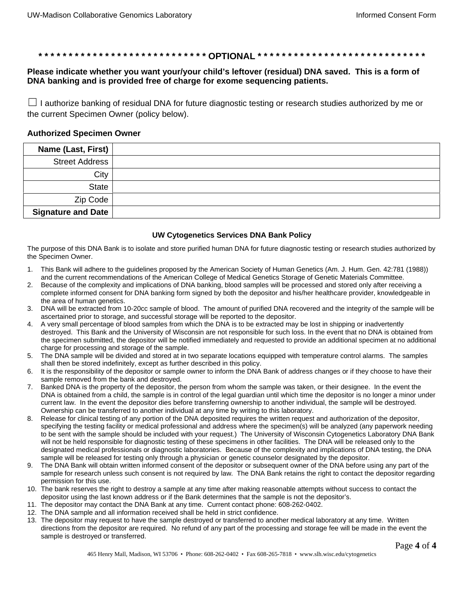#### **\* \* \* \* \* \* \* \* \* \* \* \* \* \* \* \* \* \* \* \* \* \* \* \* \* \* \* \* OPTIONAL \* \* \* \* \* \* \* \* \* \* \* \* \* \* \* \* \* \* \* \* \* \* \* \* \* \* \* \***

#### **Please indicate whether you want your/your child's leftover (residual) DNA saved. This is a form of DNA banking and is provided free of charge for exome sequencing patients.**

 $\Box$  I authorize banking of residual DNA for future diagnostic testing or research studies authorized by me or the current Specimen Owner (policy below).

#### **Authorized Specimen Owner**

| Name (Last, First) |  |
|--------------------|--|
| Street Address     |  |
| City               |  |
| <b>State</b>       |  |
| Zip Code           |  |
| Signature and Date |  |

#### **UW Cytogenetics Services DNA Bank Policy**

The purpose of this DNA Bank is to isolate and store purified human DNA for future diagnostic testing or research studies authorized by the Specimen Owner.

- 1. This Bank will adhere to the guidelines proposed by the American Society of Human Genetics (Am. J. Hum. Gen. 42:781 (1988)) and the current recommendations of the American College of Medical Genetics Storage of Genetic Materials Committee.
- 2. Because of the complexity and implications of DNA banking, blood samples will be processed and stored only after receiving a complete informed consent for DNA banking form signed by both the depositor and his/her healthcare provider, knowledgeable in the area of human genetics.
- 3. DNA will be extracted from 10-20cc sample of blood. The amount of purified DNA recovered and the integrity of the sample will be ascertained prior to storage, and successful storage will be reported to the depositor.
- 4. A very small percentage of blood samples from which the DNA is to be extracted may be lost in shipping or inadvertently destroyed. This Bank and the University of Wisconsin are not responsible for such loss. In the event that no DNA is obtained from the specimen submitted, the depositor will be notified immediately and requested to provide an additional specimen at no additional charge for processing and storage of the sample.
- 5. The DNA sample will be divided and stored at in two separate locations equipped with temperature control alarms. The samples shall then be stored indefinitely, except as further described in this policy.
- 6. It is the responsibility of the depositor or sample owner to inform the DNA Bank of address changes or if they choose to have their sample removed from the bank and destroyed.
- 7. Banked DNA is the property of the depositor, the person from whom the sample was taken, or their designee. In the event the DNA is obtained from a child, the sample is in control of the legal guardian until which time the depositor is no longer a minor under current law. In the event the depositor dies before transferring ownership to another individual, the sample will be destroyed. Ownership can be transferred to another individual at any time by writing to this laboratory.
- 8. Release for clinical testing of any portion of the DNA deposited requires the written request and authorization of the depositor, specifying the testing facility or medical professional and address where the specimen(s) will be analyzed (any paperwork needing to be sent with the sample should be included with your request.) The University of Wisconsin Cytogenetics Laboratory DNA Bank will not be held responsible for diagnostic testing of these specimens in other facilities. The DNA will be released only to the designated medical professionals or diagnostic laboratories. Because of the complexity and implications of DNA testing, the DNA sample will be released for testing only through a physician or genetic counselor designated by the depositor.
- 9. The DNA Bank will obtain written informed consent of the depositor or subsequent owner of the DNA before using any part of the sample for research unless such consent is not required by law. The DNA Bank retains the right to contact the depositor regarding permission for this use.
- 10. The bank reserves the right to destroy a sample at any time after making reasonable attempts without success to contact the depositor using the last known address or if the Bank determines that the sample is not the depositor's.
- 11. The depositor may contact the DNA Bank at any time. Current contact phone: 608-262-0402.
- 12. The DNA sample and all information received shall be held in strict confidence.
- 13. The depositor may request to have the sample destroyed or transferred to another medical laboratory at any time. Written directions from the depositor are required. No refund of any part of the processing and storage fee will be made in the event the sample is destroyed or transferred.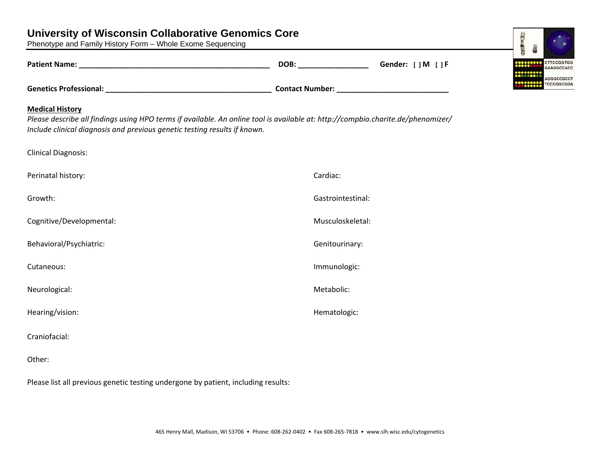# **University of Wisconsin Collaborative Genomics Core**

Phenotype and Family History Form – Whole Exome Sequencing

|                                                                                                                                                                                                                                         | DOB: with a series of the series of the series of the series of the series of the series of the series of the | Gender: [ ] M [ ] F                                      |
|-----------------------------------------------------------------------------------------------------------------------------------------------------------------------------------------------------------------------------------------|---------------------------------------------------------------------------------------------------------------|----------------------------------------------------------|
|                                                                                                                                                                                                                                         |                                                                                                               | Contact Number: National Property of the Contact Number: |
| <b>Medical History</b><br>Please describe all findings using HPO terms if available. An online tool is available at: http://compbio.charite.de/phenomizer/<br>Include clinical diagnosis and previous genetic testing results if known. |                                                                                                               |                                                          |
| <b>Clinical Diagnosis:</b>                                                                                                                                                                                                              |                                                                                                               |                                                          |
| Perinatal history:                                                                                                                                                                                                                      | Cardiac:                                                                                                      |                                                          |
| Growth:                                                                                                                                                                                                                                 | Gastrointestinal:                                                                                             |                                                          |
| Cognitive/Developmental:                                                                                                                                                                                                                | Musculoskeletal:                                                                                              |                                                          |
| Behavioral/Psychiatric:                                                                                                                                                                                                                 | Genitourinary:                                                                                                |                                                          |
| Cutaneous:                                                                                                                                                                                                                              | Immunologic:                                                                                                  |                                                          |
| Neurological:                                                                                                                                                                                                                           | Metabolic:                                                                                                    |                                                          |
| Hearing/vision:                                                                                                                                                                                                                         | Hematologic:                                                                                                  |                                                          |
| Craniofacial:                                                                                                                                                                                                                           |                                                                                                               |                                                          |
| Other:                                                                                                                                                                                                                                  |                                                                                                               |                                                          |

Please list all previous genetic testing undergone by patient, including results: